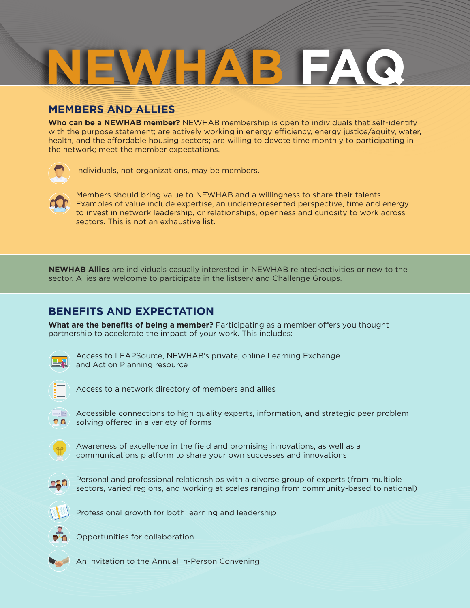# **NEWHAP FALL**

# **MEMBERS AND ALLIES**

**Who can be a NEWHAB member?** NEWHAB membership is open to individuals that self-identify with the purpose statement; are actively working in energy efficiency, energy justice/equity, water, health, and the affordable housing sectors; are willing to devote time monthly to participating in the network; meet the [member expectations](https://docs.google.com/document/d/19OtdZ5cr1WHscAW3hSOb9qi48Jq7FK1Mw8A_V77W8u8/edit?usp=sharing).



Individuals, not organizations, may be members.



Members should bring value to NEWHAB and a willingness to share their talents. Examples of value include expertise, an underrepresented perspective, time and energy to invest in network leadership, or relationships, openness and curiosity to work across sectors. This is not an exhaustive list.

**NEWHAB Allies** are individuals casually interested in NEWHAB related-activities or new to the sector. Allies are welcome to participate in the listserv and Challenge Groups.

# **BENEFITS AND EXPECTATION**

**What are the benefits of being a member?** Participating as a member offers you thought partnership to accelerate the impact of your work. This includes:



Access to LEAPSource, NEWHAB's private, online Learning Exchange and Action Planning resource



Access to a network directory of members and allies



Accessible connections to high quality experts, information, and strategic peer problem solving offered in a variety of forms



Awareness of excellence in the field and promising innovations, as well as a communications platform to share your own successes and innovations



Personal and professional relationships with a diverse group of experts (from multiple sectors, varied regions, and working at scales ranging from community-based to national)



Professional growth for both learning and leadership



Opportunities for collaboration

An invitation to the Annual In-Person Convening